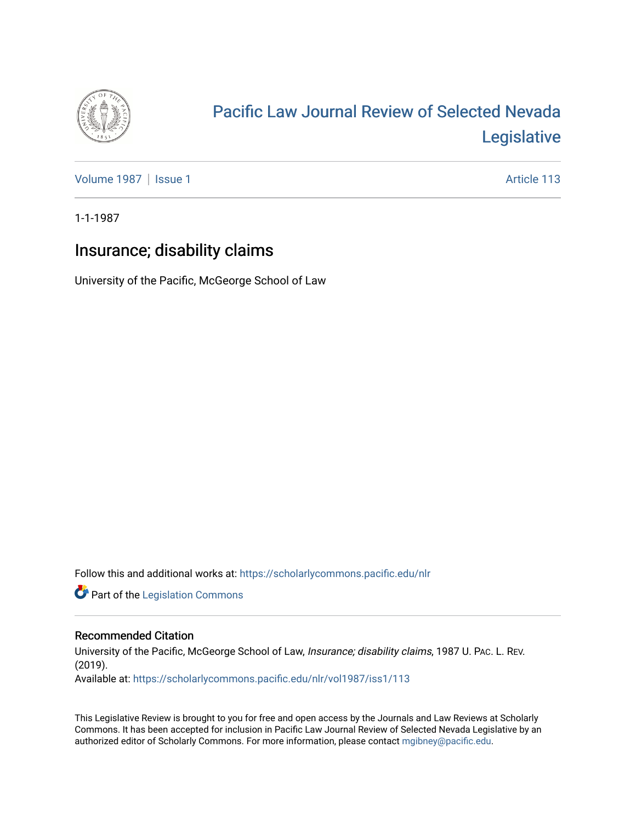

# [Pacific Law Journal Review of Selected Nevada](https://scholarlycommons.pacific.edu/nlr)  [Legislative](https://scholarlycommons.pacific.edu/nlr)

[Volume 1987](https://scholarlycommons.pacific.edu/nlr/vol1987) | [Issue 1](https://scholarlycommons.pacific.edu/nlr/vol1987/iss1) Article 113

1-1-1987

# Insurance; disability claims

University of the Pacific, McGeorge School of Law

Follow this and additional works at: [https://scholarlycommons.pacific.edu/nlr](https://scholarlycommons.pacific.edu/nlr?utm_source=scholarlycommons.pacific.edu%2Fnlr%2Fvol1987%2Fiss1%2F113&utm_medium=PDF&utm_campaign=PDFCoverPages) 

**Part of the [Legislation Commons](http://network.bepress.com/hgg/discipline/859?utm_source=scholarlycommons.pacific.edu%2Fnlr%2Fvol1987%2Fiss1%2F113&utm_medium=PDF&utm_campaign=PDFCoverPages)** 

## Recommended Citation

University of the Pacific, McGeorge School of Law, Insurance; disability claims, 1987 U. PAc. L. REV. (2019). Available at: [https://scholarlycommons.pacific.edu/nlr/vol1987/iss1/113](https://scholarlycommons.pacific.edu/nlr/vol1987/iss1/113?utm_source=scholarlycommons.pacific.edu%2Fnlr%2Fvol1987%2Fiss1%2F113&utm_medium=PDF&utm_campaign=PDFCoverPages) 

This Legislative Review is brought to you for free and open access by the Journals and Law Reviews at Scholarly Commons. It has been accepted for inclusion in Pacific Law Journal Review of Selected Nevada Legislative by an authorized editor of Scholarly Commons. For more information, please contact [mgibney@pacific.edu](mailto:mgibney@pacific.edu).